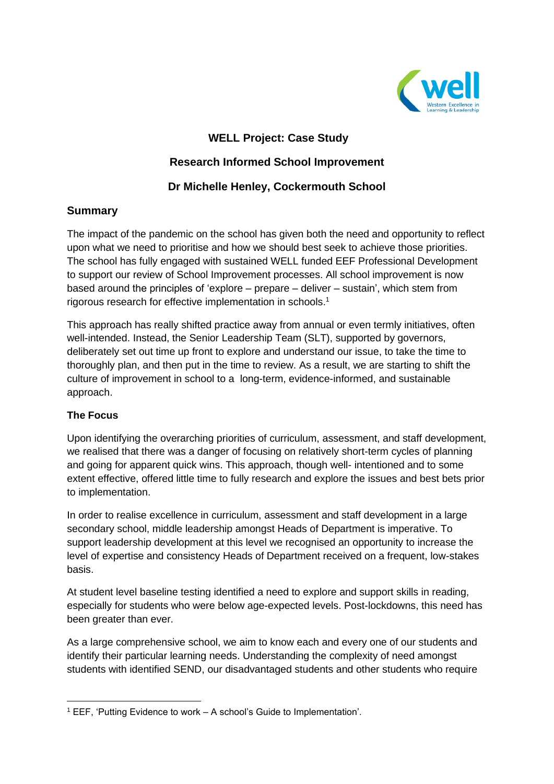

# **WELL Project: Case Study**

## **Research Informed School Improvement**

# **Dr Michelle Henley, Cockermouth School**

## **Summary**

The impact of the pandemic on the school has given both the need and opportunity to reflect upon what we need to prioritise and how we should best seek to achieve those priorities. The school has fully engaged with sustained WELL funded EEF Professional Development to support our review of School Improvement processes. All school improvement is now based around the principles of 'explore – prepare – deliver – sustain', which stem from rigorous research for effective implementation in schools. 1

This approach has really shifted practice away from annual or even termly initiatives, often well-intended. Instead, the Senior Leadership Team (SLT), supported by governors, deliberately set out time up front to explore and understand our issue, to take the time to thoroughly plan, and then put in the time to review. As a result, we are starting to shift the culture of improvement in school to a long-term, evidence-informed, and sustainable approach.

### **The Focus**

Upon identifying the overarching priorities of curriculum, assessment, and staff development, we realised that there was a danger of focusing on relatively short-term cycles of planning and going for apparent quick wins. This approach, though well- intentioned and to some extent effective, offered little time to fully research and explore the issues and best bets prior to implementation.

In order to realise excellence in curriculum, assessment and staff development in a large secondary school, middle leadership amongst Heads of Department is imperative. To support leadership development at this level we recognised an opportunity to increase the level of expertise and consistency Heads of Department received on a frequent, low-stakes basis.

At student level baseline testing identified a need to explore and support skills in reading, especially for students who were below age-expected levels. Post-lockdowns, this need has been greater than ever.

As a large comprehensive school, we aim to know each and every one of our students and identify their particular learning needs. Understanding the complexity of need amongst students with identified SEND, our disadvantaged students and other students who require

<sup>1</sup> EEF, 'Putting Evidence to work – A school's Guide to Implementation'.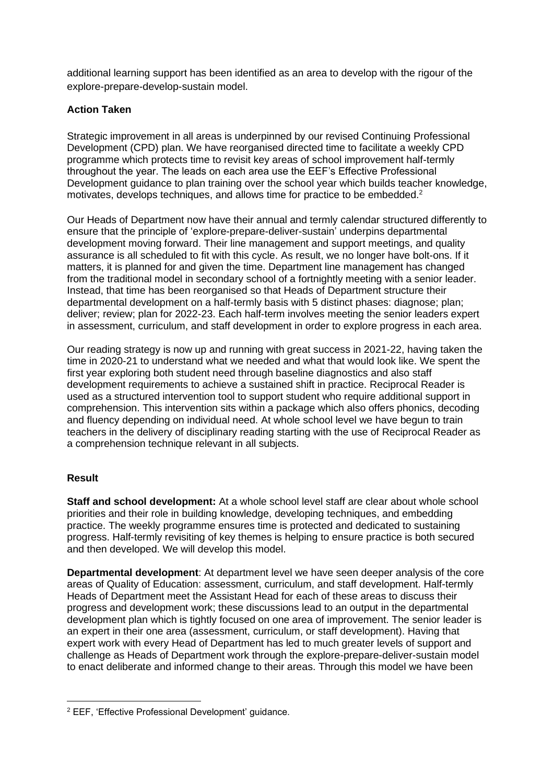additional learning support has been identified as an area to develop with the rigour of the explore-prepare-develop-sustain model.

#### **Action Taken**

Strategic improvement in all areas is underpinned by our revised Continuing Professional Development (CPD) plan. We have reorganised directed time to facilitate a weekly CPD programme which protects time to revisit key areas of school improvement half-termly throughout the year. The leads on each area use the EEF's Effective Professional Development guidance to plan training over the school year which builds teacher knowledge, motivates, develops techniques, and allows time for practice to be embedded.<sup>2</sup>

Our Heads of Department now have their annual and termly calendar structured differently to ensure that the principle of 'explore-prepare-deliver-sustain' underpins departmental development moving forward. Their line management and support meetings, and quality assurance is all scheduled to fit with this cycle. As result, we no longer have bolt-ons. If it matters, it is planned for and given the time. Department line management has changed from the traditional model in secondary school of a fortnightly meeting with a senior leader. Instead, that time has been reorganised so that Heads of Department structure their departmental development on a half-termly basis with 5 distinct phases: diagnose; plan; deliver; review; plan for 2022-23. Each half-term involves meeting the senior leaders expert in assessment, curriculum, and staff development in order to explore progress in each area.

Our reading strategy is now up and running with great success in 2021-22, having taken the time in 2020-21 to understand what we needed and what that would look like. We spent the first year exploring both student need through baseline diagnostics and also staff development requirements to achieve a sustained shift in practice. Reciprocal Reader is used as a structured intervention tool to support student who require additional support in comprehension. This intervention sits within a package which also offers phonics, decoding and fluency depending on individual need. At whole school level we have begun to train teachers in the delivery of disciplinary reading starting with the use of Reciprocal Reader as a comprehension technique relevant in all subjects.

### **Result**

**Staff and school development:** At a whole school level staff are clear about whole school priorities and their role in building knowledge, developing techniques, and embedding practice. The weekly programme ensures time is protected and dedicated to sustaining progress. Half-termly revisiting of key themes is helping to ensure practice is both secured and then developed. We will develop this model.

**Departmental development**: At department level we have seen deeper analysis of the core areas of Quality of Education: assessment, curriculum, and staff development. Half-termly Heads of Department meet the Assistant Head for each of these areas to discuss their progress and development work; these discussions lead to an output in the departmental development plan which is tightly focused on one area of improvement. The senior leader is an expert in their one area (assessment, curriculum, or staff development). Having that expert work with every Head of Department has led to much greater levels of support and challenge as Heads of Department work through the explore-prepare-deliver-sustain model to enact deliberate and informed change to their areas. Through this model we have been

<sup>2</sup> EEF, 'Effective Professional Development' guidance.